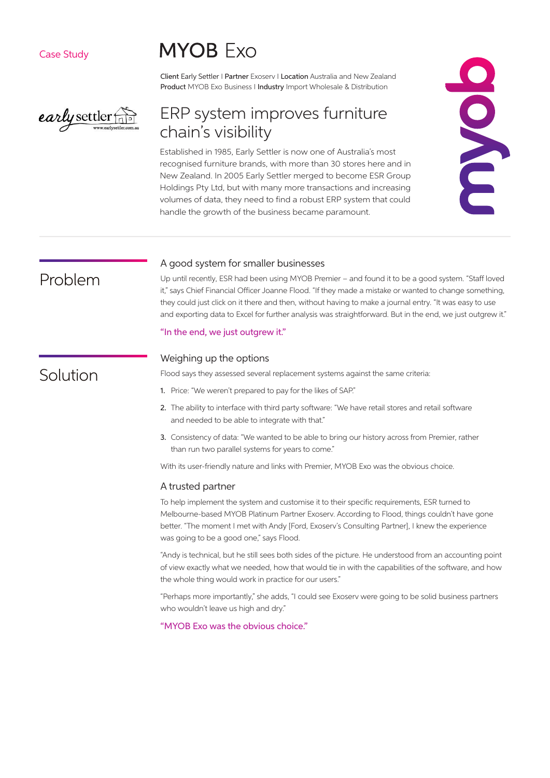Case Study

early settler

# **MYOB Exo**

Client Early Settler I Partner Exoserv I Location Australia and New Zealand Product MYOB Exo Business I Industry Import Wholesale & Distribution

# ERP system improves furniture chain's visibility

Established in 1985, Early Settler is now one of Australia's most recognised furniture brands, with more than 30 stores here and in New Zealand. In 2005 Early Settler merged to become ESR Group Holdings Pty Ltd, but with many more transactions and increasing volumes of data, they need to find a robust ERP system that could handle the growth of the business became paramount.



# Problem

#### A good system for smaller businesses

Up until recently, ESR had been using MYOB Premier – and found it to be a good system. "Staff loved it," says Chief Financial Officer Joanne Flood. "If they made a mistake or wanted to change something, they could just click on it there and then, without having to make a journal entry. "It was easy to use and exporting data to Excel for further analysis was straightforward. But in the end, we just outgrew it."

#### "In the end, we just outgrew it."

## Weighing up the options

Flood says they assessed several replacement systems against the same criteria:

- 1. Price: "We weren't prepared to pay for the likes of SAP."
- 2. The ability to interface with third party software: "We have retail stores and retail software and needed to be able to integrate with that."
- 3. Consistency of data: "We wanted to be able to bring our history across from Premier, rather than run two parallel systems for years to come."

With its user-friendly nature and links with Premier, MYOB Exo was the obvious choice.

#### A trusted partner

To help implement the system and customise it to their specific requirements, ESR turned to Melbourne-based MYOB Platinum Partner Exoserv. According to Flood, things couldn't have gone better. "The moment I met with Andy [Ford, Exoserv's Consulting Partner], I knew the experience was going to be a good one," says Flood.

"Andy is technical, but he still sees both sides of the picture. He understood from an accounting point of view exactly what we needed, how that would tie in with the capabilities of the software, and how the whole thing would work in practice for our users."

"Perhaps more importantly," she adds, "I could see Exoserv were going to be solid business partners who wouldn't leave us high and dry."

"MYOB Exo was the obvious choice."

# Solution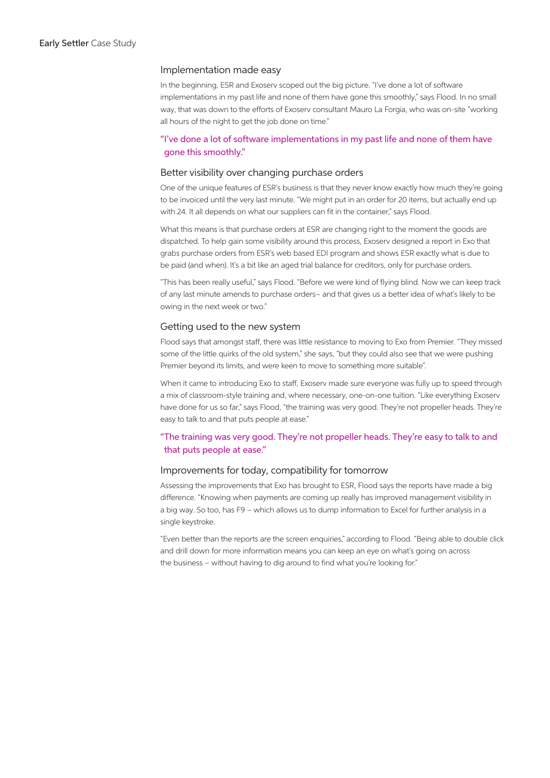#### Implementation made easy

In the beginning, ESR and Exoserv scoped out the big picture. "I've done a lot of software implementations in my past life and none of them have gone this smoothly," says Flood. In no small way, that was down to the efforts of Exoserv consultant Mauro La Forgia, who was on-site "working all hours of the night to get the job done on time."

## "I've done a lot of software implementations in my past life and none of them have gone this smoothly."

#### Better visibility over changing purchase orders

One of the unique features of ESR's business is that they never know exactly how much they're going to be invoiced until the very last minute. "We might put in an order for 20 items, but actually end up with 24. It all depends on what our suppliers can fit in the container," says Flood.

What this means is that purchase orders at ESR are changing right to the moment the goods are dispatched. To help gain some visibility around this process, Exoserv designed a report in Exo that grabs purchase orders from ESR's web based EDI program and shows ESR exactly what is due to be paid (and when). It's a bit like an aged trial balance for creditors, only for purchase orders.

"This has been really useful," says Flood. "Before we were kind of flying blind. Now we can keep track of any last minute amends to purchase orders– and that gives us a better idea of what's likely to be owing in the next week or two."

#### Getting used to the new system

Flood says that amongst staff, there was little resistance to moving to Exo from Premier. "They missed some of the little quirks of the old system," she says, "but they could also see that we were pushing Premier beyond its limits, and were keen to move to something more suitable".

When it came to introducing Exo to staff, Exoserv made sure everyone was fully up to speed through a mix of classroom-style training and, where necessary, one-on-one tuition. "Like everything Exoserv have done for us so far," says Flood, "the training was very good. They're not propeller heads. They're easy to talk to and that puts people at ease."

### "The training was very good. They're not propeller heads. They're easy to talk to and that puts people at ease."

### Improvements for today, compatibility for tomorrow

Assessing the improvements that Exo has brought to ESR, Flood says the reports have made a big difference. "Knowing when payments are coming up really has improved management visibility in a big way. So too, has F9 – which allows us to dump information to Excel for further analysis in a single keystroke.

"Even better than the reports are the screen enquiries," according to Flood. "Being able to double click and drill down for more information means you can keep an eye on what's going on across the business – without having to dig around to find what you're looking for."